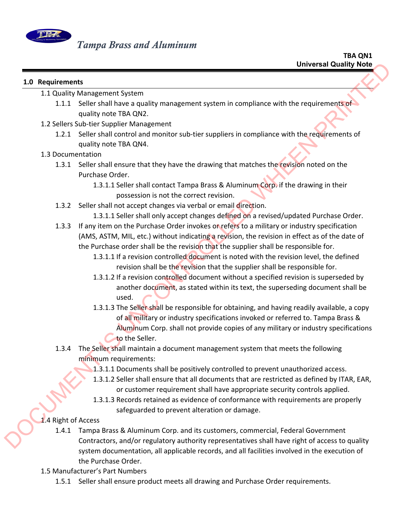

## **1.0 Requirements**

- 1.1 Quality Management System
	- 1.1.1 Seller shall have a quality management system in compliance with the requirements of quality note TBA QN2.
- 1.2 Sellers Sub‐tier Supplier Management
	- 1.2.1 Seller shall control and monitor sub-tier suppliers in compliance with the requirements of quality note TBA QN4.
- 1.3 Documentation
	- 1.3.1 Seller shall ensure that they have the drawing that matches the revision noted on the Purchase Order.
		- 1.3.1.1 Seller shall contact Tampa Brass & Aluminum Corp. if the drawing in their possession is not the correct revision.
	- 1.3.2 Seller shall not accept changes via verbal or email direction.
		- 1.3.1.1 Seller shall only accept changes defined on a revised/updated Purchase Order.
	- 1.3.3 If any item on the Purchase Order invokes or refers to a military or industry specification (AMS, ASTM, MIL, etc.) without indicating a revision, the revision in effect as of the date of the Purchase order shall be the revision that the supplier shall be responsible for.
		- 1.3.1.1 If a revision controlled document is noted with the revision level, the defined revision shall be the revision that the supplier shall be responsible for.
		- 1.3.1.2 If a revision controlled document without a specified revision is superseded by another document, as stated within its text, the superseding document shall be used.
- 1.3.1.3 The Seller shall be responsible for obtaining, and having readily available, a copy of all military or industry specifications invoked or referred to. Tampa Brass & Aluminum Corp. shall not provide copies of any military or industry specifications to the Seller. Considerably the method Counter of the Considerably Note<br>
1.1 Quality Management System in compliance with the requirements<br>
1.1 Quality More 1804 QUAL<br>
1.2 Select shoulder Monagement System in compliance with the require
	- 1.3.4 The Seller shall maintain a document management system that meets the following minimum requirements:
		- 1.3.1.1 Documents shall be positively controlled to prevent unauthorized access.
		- 1.3.1.2 Seller shall ensure that all documents that are restricted as defined by ITAR, EAR, or customer requirement shall have appropriate security controls applied.
		- 1.3.1.3 Records retained as evidence of conformance with requirements are properly safeguarded to prevent alteration or damage.

## 1.4 Right of Access

- 1.4.1 Tampa Brass & Aluminum Corp. and its customers, commercial, Federal Government Contractors, and/or regulatory authority representatives shall have right of access to quality system documentation, all applicable records, and all facilities involved in the execution of the Purchase Order.
- 1.5 Manufacturer's Part Numbers
	- 1.5.1 Seller shall ensure product meets all drawing and Purchase Order requirements.